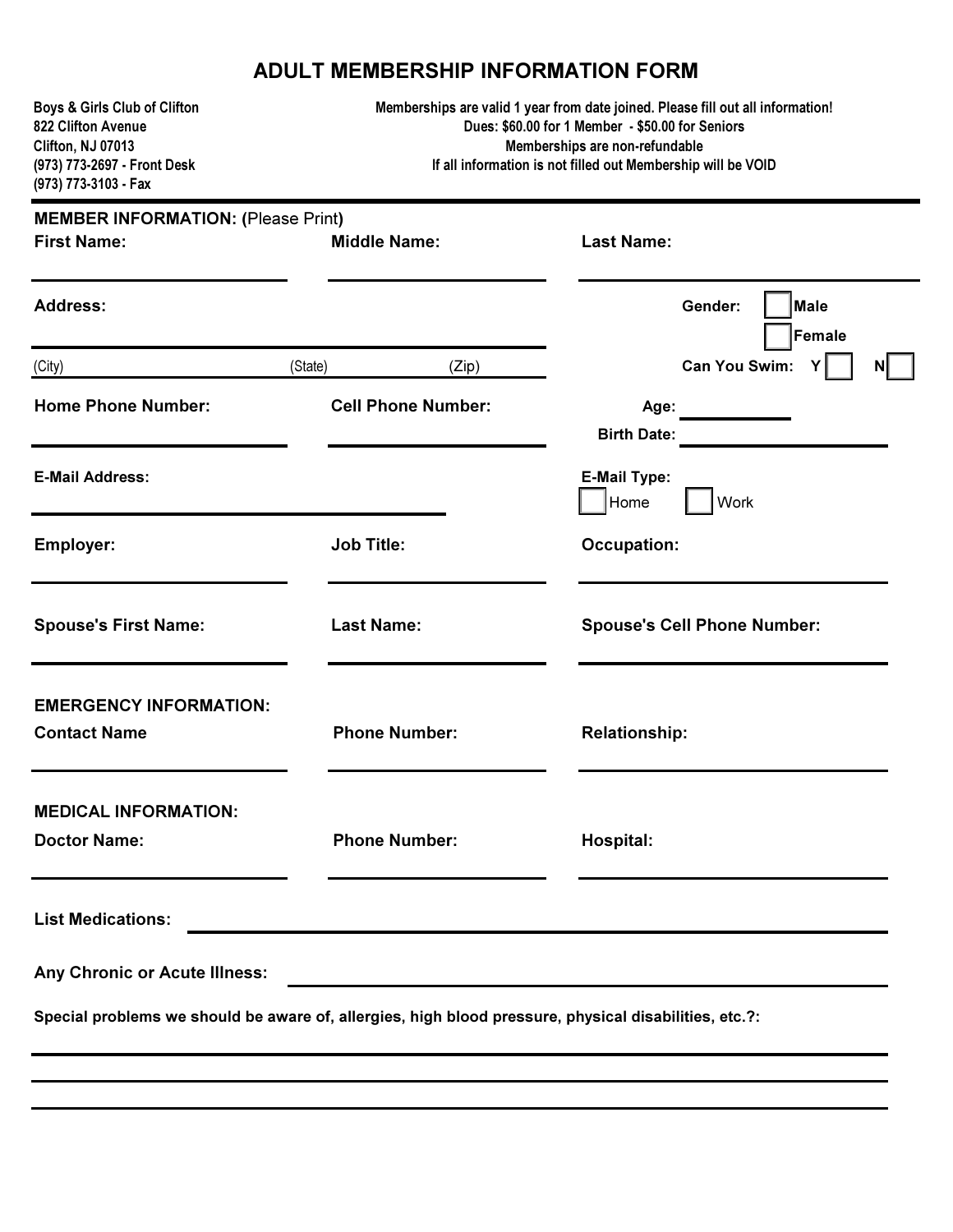## ADULT MEMBERSHIP INFORMATION FORM

| Boys & Girls Club of Clifton<br>822 Clifton Avenue<br>Clifton, NJ 07013<br>(973) 773-2697 - Front Desk<br>(973) 773-3103 - Fax |                                                           | Memberships are valid 1 year from date joined. Please fill out all information!<br>Dues: \$60.00 for 1 Member - \$50.00 for Seniors<br>Memberships are non-refundable<br>If all information is not filled out Membership will be VOID |  |  |  |  |
|--------------------------------------------------------------------------------------------------------------------------------|-----------------------------------------------------------|---------------------------------------------------------------------------------------------------------------------------------------------------------------------------------------------------------------------------------------|--|--|--|--|
|                                                                                                                                | <b>MEMBER INFORMATION: (Please Print)</b>                 |                                                                                                                                                                                                                                       |  |  |  |  |
| <b>First Name:</b>                                                                                                             | <b>Middle Name:</b>                                       | <b>Last Name:</b>                                                                                                                                                                                                                     |  |  |  |  |
| <b>Address:</b>                                                                                                                |                                                           | Male<br>Gender:<br>Female                                                                                                                                                                                                             |  |  |  |  |
| (City)                                                                                                                         | (State)<br>(Zip)                                          | Can You Swim:<br>ΝI                                                                                                                                                                                                                   |  |  |  |  |
| <b>Home Phone Number:</b>                                                                                                      | <b>Cell Phone Number:</b>                                 | Age:<br><b>Birth Date:</b>                                                                                                                                                                                                            |  |  |  |  |
| <b>E-Mail Address:</b>                                                                                                         |                                                           | <b>E-Mail Type:</b><br>Home<br>Work                                                                                                                                                                                                   |  |  |  |  |
| Employer:                                                                                                                      | <b>Job Title:</b>                                         | <b>Occupation:</b>                                                                                                                                                                                                                    |  |  |  |  |
| <b>Spouse's First Name:</b>                                                                                                    | <b>Last Name:</b>                                         | <b>Spouse's Cell Phone Number:</b>                                                                                                                                                                                                    |  |  |  |  |
| <b>EMERGENCY INFORMATION:</b><br><b>Contact Name</b>                                                                           | <b>Phone Number:</b>                                      | <b>Relationship:</b>                                                                                                                                                                                                                  |  |  |  |  |
| <b>MEDICAL INFORMATION:</b><br><b>Doctor Name:</b>                                                                             | <b>Phone Number:</b>                                      | Hospital:                                                                                                                                                                                                                             |  |  |  |  |
| <b>List Medications:</b>                                                                                                       | <u> 1989 - Johann John Stone, mensk politik (f. 1989)</u> |                                                                                                                                                                                                                                       |  |  |  |  |
| <b>Any Chronic or Acute Illness:</b>                                                                                           |                                                           | and the control of the control of the control of the control of the control of the control of the control of the                                                                                                                      |  |  |  |  |
| Special problems we should be aware of, allergies, high blood pressure, physical disabilities, etc.?:                          |                                                           |                                                                                                                                                                                                                                       |  |  |  |  |
|                                                                                                                                |                                                           |                                                                                                                                                                                                                                       |  |  |  |  |